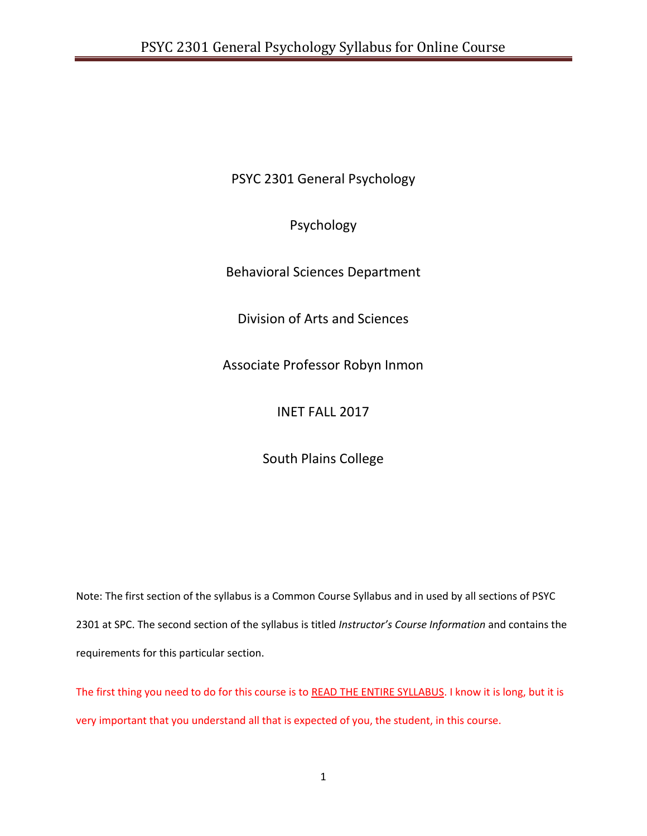PSYC 2301 General Psychology

Psychology

Behavioral Sciences Department

Division of Arts and Sciences

Associate Professor Robyn Inmon

INET FALL 2017

South Plains College

Note: The first section of the syllabus is a Common Course Syllabus and in used by all sections of PSYC 2301 at SPC. The second section of the syllabus is titled *Instructor's Course Information* and contains the requirements for this particular section.

The first thing you need to do for this course is to READ THE ENTIRE SYLLABUS. I know it is long, but it is very important that you understand all that is expected of you, the student, in this course.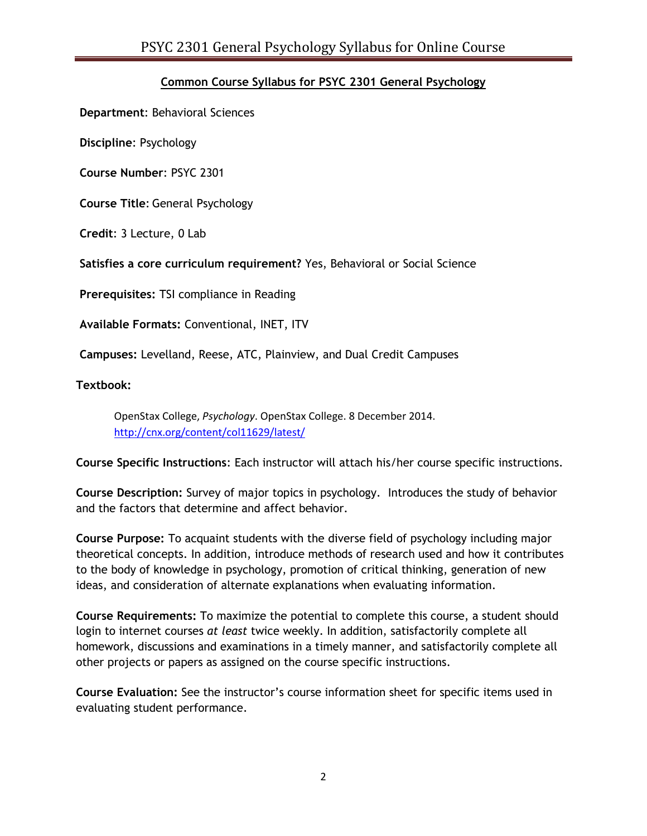# **Common Course Syllabus for PSYC 2301 General Psychology**

**Department**: Behavioral Sciences

**Discipline**: Psychology

**Course Number**: PSYC 2301

**Course Title**: General Psychology

**Credit**: 3 Lecture, 0 Lab

**Satisfies a core curriculum requirement?** Yes, Behavioral or Social Science

**Prerequisites:** TSI compliance in Reading

**Available Formats:** Conventional, INET, ITV

**Campuses:** Levelland, Reese, ATC, Plainview, and Dual Credit Campuses

**Textbook:**

OpenStax College, *Psychology*. OpenStax College. 8 December 2014. <http://cnx.org/content/col11629/latest/>

**Course Specific Instructions**: Each instructor will attach his/her course specific instructions.

**Course Description:** Survey of major topics in psychology. Introduces the study of behavior and the factors that determine and affect behavior.

**Course Purpose:** To acquaint students with the diverse field of psychology including major theoretical concepts. In addition, introduce methods of research used and how it contributes to the body of knowledge in psychology, promotion of critical thinking, generation of new ideas, and consideration of alternate explanations when evaluating information.

**Course Requirements:** To maximize the potential to complete this course, a student should login to internet courses *at least* twice weekly. In addition, satisfactorily complete all homework, discussions and examinations in a timely manner, and satisfactorily complete all other projects or papers as assigned on the course specific instructions.

**Course Evaluation:** See the instructor's course information sheet for specific items used in evaluating student performance.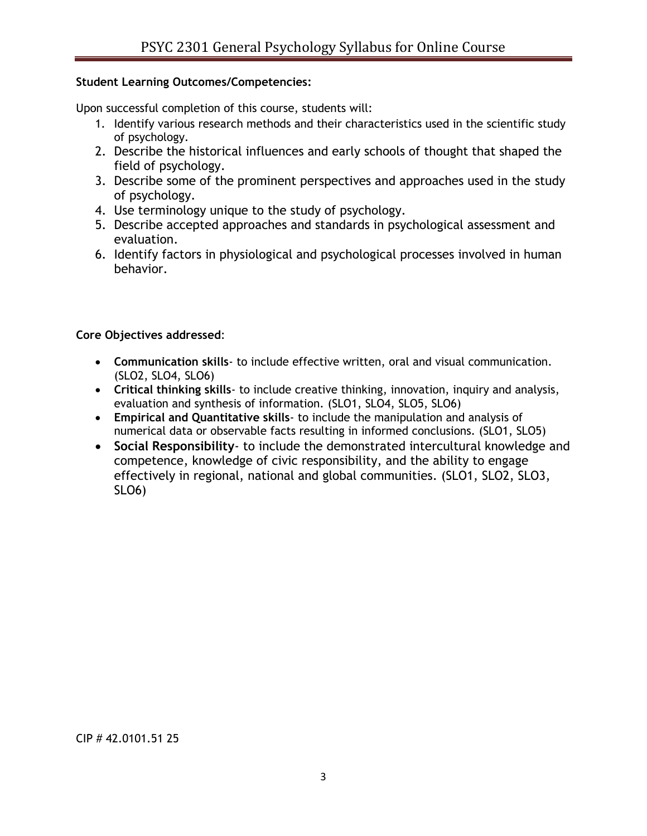## **Student Learning Outcomes/Competencies:**

Upon successful completion of this course, students will:

- 1. Identify various research methods and their characteristics used in the scientific study of psychology.
- 2. Describe the historical influences and early schools of thought that shaped the field of psychology.
- 3. Describe some of the prominent perspectives and approaches used in the study of psychology.
- 4. Use terminology unique to the study of psychology.
- 5. Describe accepted approaches and standards in psychological assessment and evaluation.
- 6. Identify factors in physiological and psychological processes involved in human behavior.

## **Core Objectives addressed**:

- **Communication skills** to include effective written, oral and visual communication. (SLO2, SLO4, SLO6)
- **Critical thinking skills** to include creative thinking, innovation, inquiry and analysis, evaluation and synthesis of information. (SLO1, SLO4, SLO5, SLO6)
- **Empirical and Quantitative skills** to include the manipulation and analysis of numerical data or observable facts resulting in informed conclusions. (SLO1, SLO5)
- **Social Responsibility** to include the demonstrated intercultural knowledge and competence, knowledge of civic responsibility, and the ability to engage effectively in regional, national and global communities. (SLO1, SLO2, SLO3, SLO6)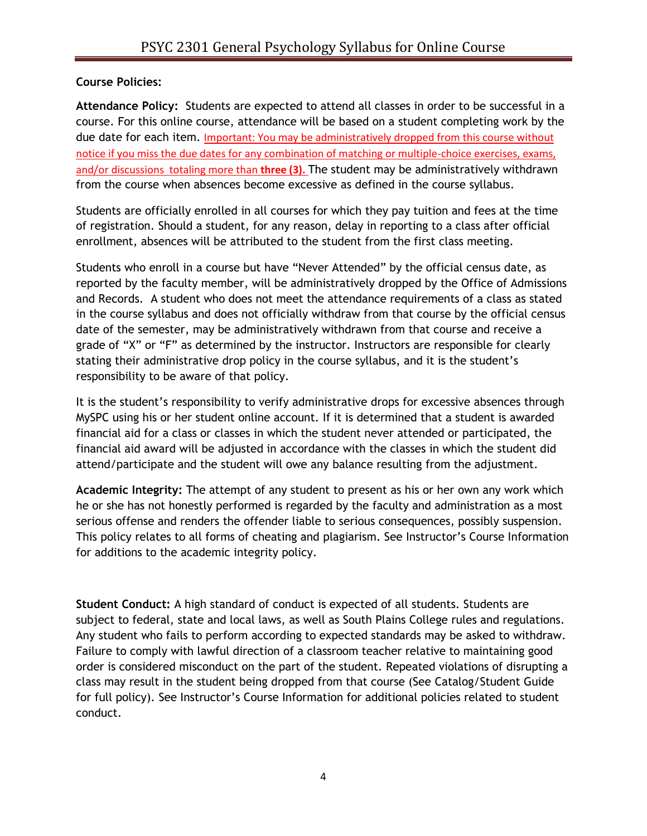## **Course Policies:**

**Attendance Policy:** Students are expected to attend all classes in order to be successful in a course. For this online course, attendance will be based on a student completing work by the due date for each item. Important: You may be administratively dropped from this course without notice if you miss the due dates for any combination of matching or multiple-choice exercises, exams, and/or discussions totaling more than **three (3).** The student may be administratively withdrawn from the course when absences become excessive as defined in the course syllabus.

Students are officially enrolled in all courses for which they pay tuition and fees at the time of registration. Should a student, for any reason, delay in reporting to a class after official enrollment, absences will be attributed to the student from the first class meeting.

Students who enroll in a course but have "Never Attended" by the official census date, as reported by the faculty member, will be administratively dropped by the Office of Admissions and Records. A student who does not meet the attendance requirements of a class as stated in the course syllabus and does not officially withdraw from that course by the official census date of the semester, may be administratively withdrawn from that course and receive a grade of "X" or "F" as determined by the instructor. Instructors are responsible for clearly stating their administrative drop policy in the course syllabus, and it is the student's responsibility to be aware of that policy.

It is the student's responsibility to verify administrative drops for excessive absences through MySPC using his or her student online account. If it is determined that a student is awarded financial aid for a class or classes in which the student never attended or participated, the financial aid award will be adjusted in accordance with the classes in which the student did attend/participate and the student will owe any balance resulting from the adjustment.

**Academic Integrity:** The attempt of any student to present as his or her own any work which he or she has not honestly performed is regarded by the faculty and administration as a most serious offense and renders the offender liable to serious consequences, possibly suspension. This policy relates to all forms of cheating and plagiarism. See Instructor's Course Information for additions to the academic integrity policy.

**Student Conduct:** A high standard of conduct is expected of all students. Students are subject to federal, state and local laws, as well as South Plains College rules and regulations. Any student who fails to perform according to expected standards may be asked to withdraw. Failure to comply with lawful direction of a classroom teacher relative to maintaining good order is considered misconduct on the part of the student. Repeated violations of disrupting a class may result in the student being dropped from that course (See Catalog/Student Guide for full policy). See Instructor's Course Information for additional policies related to student conduct.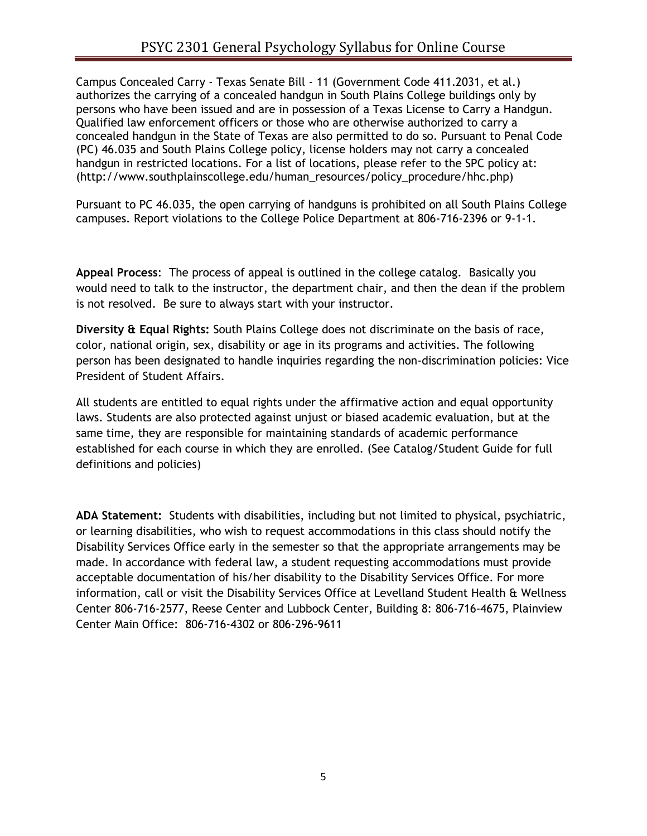Campus Concealed Carry - Texas Senate Bill - 11 (Government Code 411.2031, et al.) authorizes the carrying of a concealed handgun in South Plains College buildings only by persons who have been issued and are in possession of a Texas License to Carry a Handgun. Qualified law enforcement officers or those who are otherwise authorized to carry a concealed handgun in the State of Texas are also permitted to do so. Pursuant to Penal Code (PC) 46.035 and South Plains College policy, license holders may not carry a concealed handgun in restricted locations. For a list of locations, please refer to the SPC policy at: (http://www.southplainscollege.edu/human\_resources/policy\_procedure/hhc.php)

Pursuant to PC 46.035, the open carrying of handguns is prohibited on all South Plains College campuses. Report violations to the College Police Department at 806-716-2396 or 9-1-1.

**Appeal Process**: The process of appeal is outlined in the college catalog. Basically you would need to talk to the instructor, the department chair, and then the dean if the problem is not resolved. Be sure to always start with your instructor.

**Diversity & Equal Rights:** South Plains College does not discriminate on the basis of race, color, national origin, sex, disability or age in its programs and activities. The following person has been designated to handle inquiries regarding the non-discrimination policies: Vice President of Student Affairs.

All students are entitled to equal rights under the affirmative action and equal opportunity laws. Students are also protected against unjust or biased academic evaluation, but at the same time, they are responsible for maintaining standards of academic performance established for each course in which they are enrolled. (See Catalog/Student Guide for full definitions and policies)

**ADA Statement:** Students with disabilities, including but not limited to physical, psychiatric, or learning disabilities, who wish to request accommodations in this class should notify the Disability Services Office early in the semester so that the appropriate arrangements may be made. In accordance with federal law, a student requesting accommodations must provide acceptable documentation of his/her disability to the Disability Services Office. For more information, call or visit the Disability Services Office at Levelland Student Health & Wellness Center 806-716-2577, Reese Center and Lubbock Center, Building 8: 806-716-4675, Plainview Center Main Office: 806-716-4302 or 806-296-9611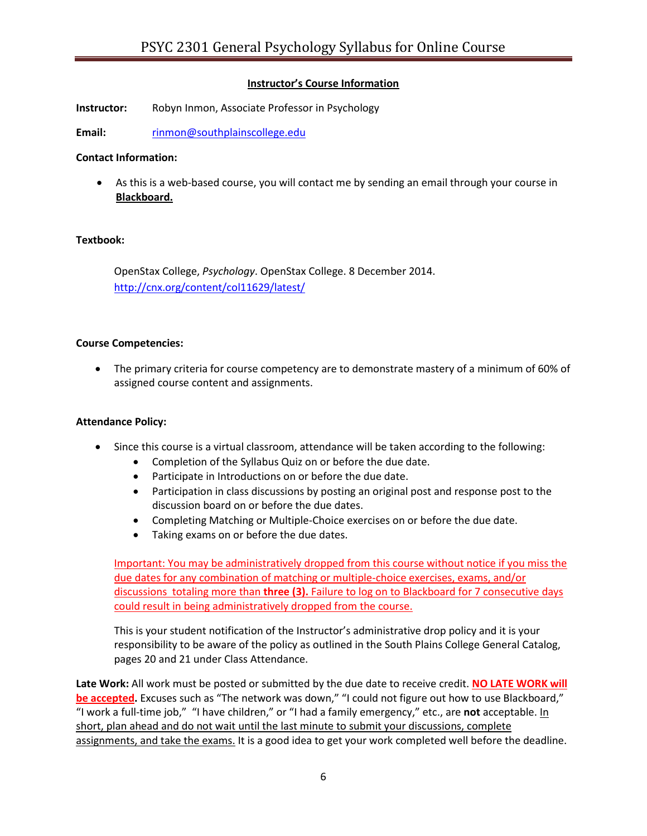### **Instructor's Course Information**

**Instructor:** Robyn Inmon, Associate Professor in Psychology

**Email:** [rinmon@southplainscollege.edu](mailto:rinmon@southplainscollege.edu)

#### **Contact Information:**

 As this is a web-based course, you will contact me by sending an email through your course in **Blackboard.**

#### **Textbook:**

OpenStax College, *Psychology*. OpenStax College. 8 December 2014. <http://cnx.org/content/col11629/latest/>

#### **Course Competencies:**

 The primary criteria for course competency are to demonstrate mastery of a minimum of 60% of assigned course content and assignments.

#### **Attendance Policy:**

- Since this course is a virtual classroom, attendance will be taken according to the following:
	- Completion of the Syllabus Quiz on or before the due date.
	- Participate in Introductions on or before the due date.
	- Participation in class discussions by posting an original post and response post to the discussion board on or before the due dates.
	- Completing Matching or Multiple-Choice exercises on or before the due date.
	- Taking exams on or before the due dates.

Important: You may be administratively dropped from this course without notice if you miss the due dates for any combination of matching or multiple-choice exercises, exams, and/or discussions totaling more than **three (3).** Failure to log on to Blackboard for 7 consecutive days could result in being administratively dropped from the course.

This is your student notification of the Instructor's administrative drop policy and it is your responsibility to be aware of the policy as outlined in the South Plains College General Catalog, pages 20 and 21 under Class Attendance.

**Late Work:** All work must be posted or submitted by the due date to receive credit. **NO LATE WORK will be accepted.** Excuses such as "The network was down," "I could not figure out how to use Blackboard," "I work a full-time job," "I have children," or "I had a family emergency," etc., are **not** acceptable. In short, plan ahead and do not wait until the last minute to submit your discussions, complete assignments, and take the exams. It is a good idea to get your work completed well before the deadline.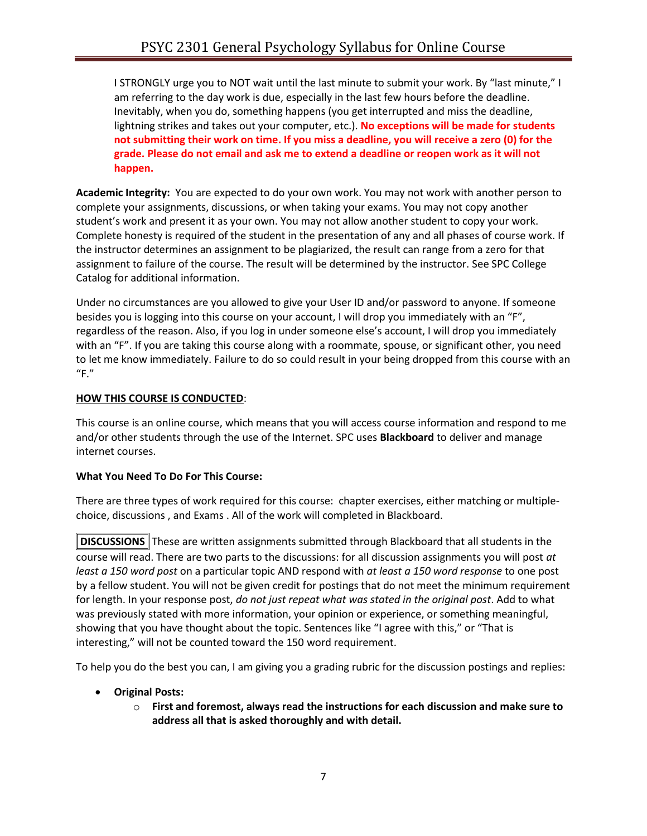I STRONGLY urge you to NOT wait until the last minute to submit your work. By "last minute," I am referring to the day work is due, especially in the last few hours before the deadline. Inevitably, when you do, something happens (you get interrupted and miss the deadline, lightning strikes and takes out your computer, etc.). **No exceptions will be made for students not submitting their work on time. If you miss a deadline, you will receive a zero (0) for the grade. Please do not email and ask me to extend a deadline or reopen work as it will not happen.**

**Academic Integrity:** You are expected to do your own work. You may not work with another person to complete your assignments, discussions, or when taking your exams. You may not copy another student's work and present it as your own. You may not allow another student to copy your work. Complete honesty is required of the student in the presentation of any and all phases of course work. If the instructor determines an assignment to be plagiarized, the result can range from a zero for that assignment to failure of the course. The result will be determined by the instructor. See SPC College Catalog for additional information.

Under no circumstances are you allowed to give your User ID and/or password to anyone. If someone besides you is logging into this course on your account, I will drop you immediately with an "F", regardless of the reason. Also, if you log in under someone else's account, I will drop you immediately with an "F". If you are taking this course along with a roommate, spouse, or significant other, you need to let me know immediately. Failure to do so could result in your being dropped from this course with an  $"F."$ 

## **HOW THIS COURSE IS CONDUCTED**:

This course is an online course, which means that you will access course information and respond to me and/or other students through the use of the Internet. SPC uses **Blackboard** to deliver and manage internet courses.

## **What You Need To Do For This Course:**

There are three types of work required for this course: chapter exercises, either matching or multiplechoice, discussions , and Exams . All of the work will completed in Blackboard.

**DISCUSSIONS** These are written assignments submitted through Blackboard that all students in the course will read. There are two parts to the discussions: for all discussion assignments you will post *at least a 150 word post* on a particular topic AND respond with *at least a 150 word response* to one post by a fellow student. You will not be given credit for postings that do not meet the minimum requirement for length. In your response post, *do not just repeat what was stated in the original post*. Add to what was previously stated with more information, your opinion or experience, or something meaningful, showing that you have thought about the topic. Sentences like "I agree with this," or "That is interesting," will not be counted toward the 150 word requirement.

To help you do the best you can, I am giving you a grading rubric for the discussion postings and replies:

- **Original Posts:**
	- o **First and foremost, always read the instructions for each discussion and make sure to address all that is asked thoroughly and with detail.**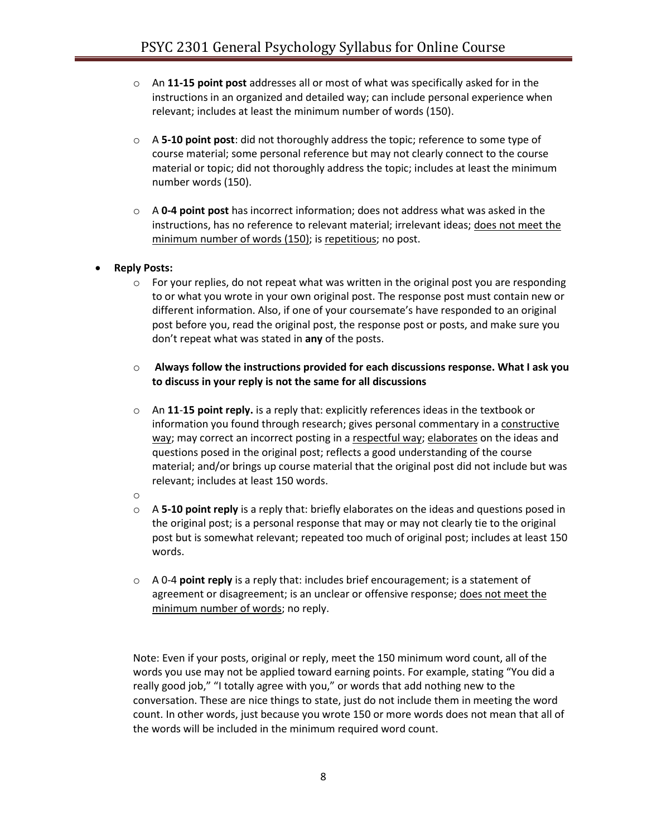- o An **11-15 point post** addresses all or most of what was specifically asked for in the instructions in an organized and detailed way; can include personal experience when relevant; includes at least the minimum number of words (150).
- o A **5-10 point post**: did not thoroughly address the topic; reference to some type of course material; some personal reference but may not clearly connect to the course material or topic; did not thoroughly address the topic; includes at least the minimum number words (150).
- o A **0-4 point post** has incorrect information; does not address what was asked in the instructions, has no reference to relevant material; irrelevant ideas; does not meet the minimum number of words (150); is repetitious; no post.
- **Reply Posts:**
	- $\circ$  For your replies, do not repeat what was written in the original post you are responding to or what you wrote in your own original post. The response post must contain new or different information. Also, if one of your coursemate's have responded to an original post before you, read the original post, the response post or posts, and make sure you don't repeat what was stated in **any** of the posts.
	- o **Always follow the instructions provided for each discussions response. What I ask you to discuss in your reply is not the same for all discussions**
	- o An **11**-**15 point reply.** is a reply that: explicitly references ideas in the textbook or information you found through research; gives personal commentary in a constructive way; may correct an incorrect posting in a respectful way; elaborates on the ideas and questions posed in the original post; reflects a good understanding of the course material; and/or brings up course material that the original post did not include but was relevant; includes at least 150 words.
	- o
	- o A **5-10 point reply** is a reply that: briefly elaborates on the ideas and questions posed in the original post; is a personal response that may or may not clearly tie to the original post but is somewhat relevant; repeated too much of original post; includes at least 150 words.
	- o A 0-4 **point reply** is a reply that: includes brief encouragement; is a statement of agreement or disagreement; is an unclear or offensive response; does not meet the minimum number of words; no reply.

Note: Even if your posts, original or reply, meet the 150 minimum word count, all of the words you use may not be applied toward earning points. For example, stating "You did a really good job," "I totally agree with you," or words that add nothing new to the conversation. These are nice things to state, just do not include them in meeting the word count. In other words, just because you wrote 150 or more words does not mean that all of the words will be included in the minimum required word count.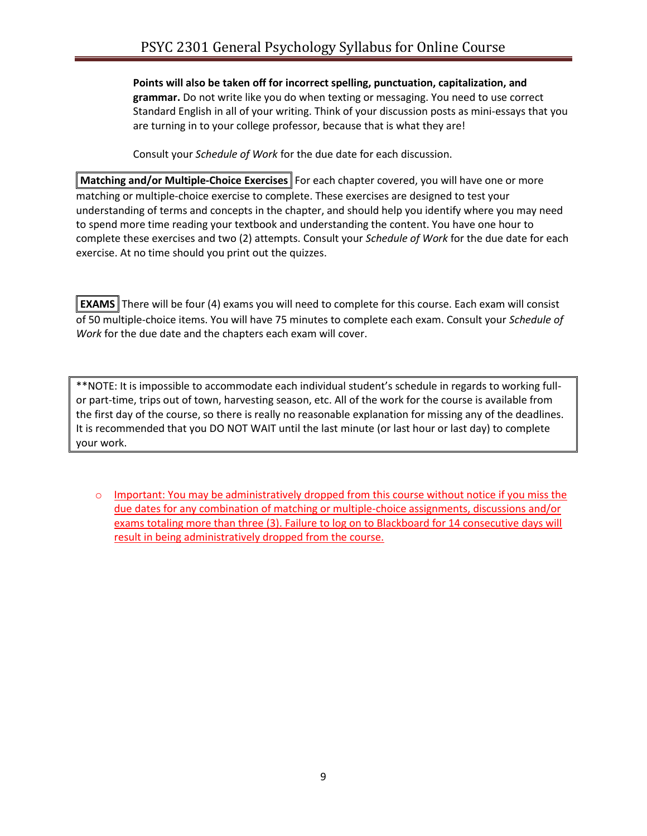### **Points will also be taken off for incorrect spelling, punctuation, capitalization, and grammar.** Do not write like you do when texting or messaging. You need to use correct Standard English in all of your writing. Think of your discussion posts as mini-essays that you are turning in to your college professor, because that is what they are!

Consult your *Schedule of Work* for the due date for each discussion.

**Matching and/or Multiple-Choice Exercises** For each chapter covered, you will have one or more matching or multiple-choice exercise to complete. These exercises are designed to test your understanding of terms and concepts in the chapter, and should help you identify where you may need to spend more time reading your textbook and understanding the content. You have one hour to complete these exercises and two (2) attempts. Consult your *Schedule of Work* for the due date for each exercise. At no time should you print out the quizzes.

**EXAMS** There will be four (4) exams you will need to complete for this course. Each exam will consist of 50 multiple-choice items. You will have 75 minutes to complete each exam. Consult your *Schedule of Work* for the due date and the chapters each exam will cover.

\*\*NOTE: It is impossible to accommodate each individual student's schedule in regards to working fullor part-time, trips out of town, harvesting season, etc. All of the work for the course is available from the first day of the course, so there is really no reasonable explanation for missing any of the deadlines. It is recommended that you DO NOT WAIT until the last minute (or last hour or last day) to complete your work.

 $\circ$  Important: You may be administratively dropped from this course without notice if you miss the due dates for any combination of matching or multiple-choice assignments, discussions and/or exams totaling more than three (3). Failure to log on to Blackboard for 14 consecutive days will result in being administratively dropped from the course.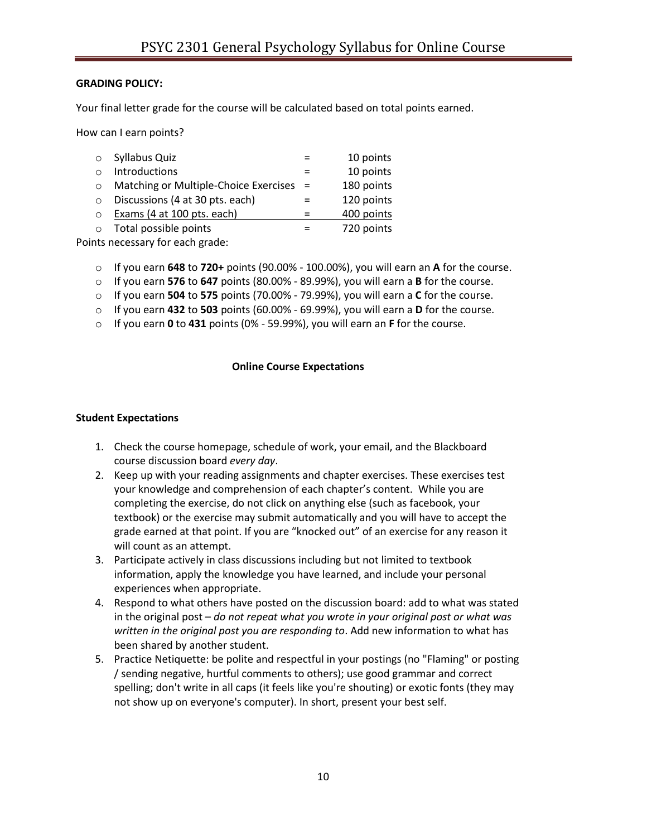### **GRADING POLICY:**

Your final letter grade for the course will be calculated based on total points earned.

How can I earn points?

| $\circ$  | Syllabus Quiz                         |     | 10 points  |
|----------|---------------------------------------|-----|------------|
|          | Introductions                         |     | 10 points  |
|          | Matching or Multiple-Choice Exercises | $=$ | 180 points |
| $\Omega$ | Discussions (4 at 30 pts. each)       |     | 120 points |
| $\Omega$ | Exams (4 at 100 pts. each)            |     | 400 points |
| $\Omega$ | Total possible points                 |     | 720 points |
|          |                                       |     |            |

Points necessary for each grade:

- o If you earn **648** to **720+** points (90.00% 100.00%), you will earn an **A** for the course.
- o If you earn **576** to **647** points (80.00% 89.99%), you will earn a **B** for the course.
- o If you earn **504** to **575** points (70.00% 79.99%), you will earn a **C** for the course.
- o If you earn **432** to **503** points (60.00% 69.99%), you will earn a **D** for the course.
- o If you earn **0** to **431** points (0% 59.99%), you will earn an **F** for the course.

#### **Online Course Expectations**

#### **Student Expectations**

- 1. Check the course homepage, schedule of work, your email, and the Blackboard course discussion board *every day*.
- 2. Keep up with your reading assignments and chapter exercises. These exercises test your knowledge and comprehension of each chapter's content. While you are completing the exercise, do not click on anything else (such as facebook, your textbook) or the exercise may submit automatically and you will have to accept the grade earned at that point. If you are "knocked out" of an exercise for any reason it will count as an attempt.
- 3. Participate actively in class discussions including but not limited to textbook information, apply the knowledge you have learned, and include your personal experiences when appropriate.
- 4. Respond to what others have posted on the discussion board: add to what was stated in the original post – *do not repeat what you wrote in your original post or what was written in the original post you are responding to*. Add new information to what has been shared by another student.
- 5. Practice Netiquette: be polite and respectful in your postings (no "Flaming" or posting / sending negative, hurtful comments to others); use good grammar and correct spelling; don't write in all caps (it feels like you're shouting) or exotic fonts (they may not show up on everyone's computer). In short, present your best self.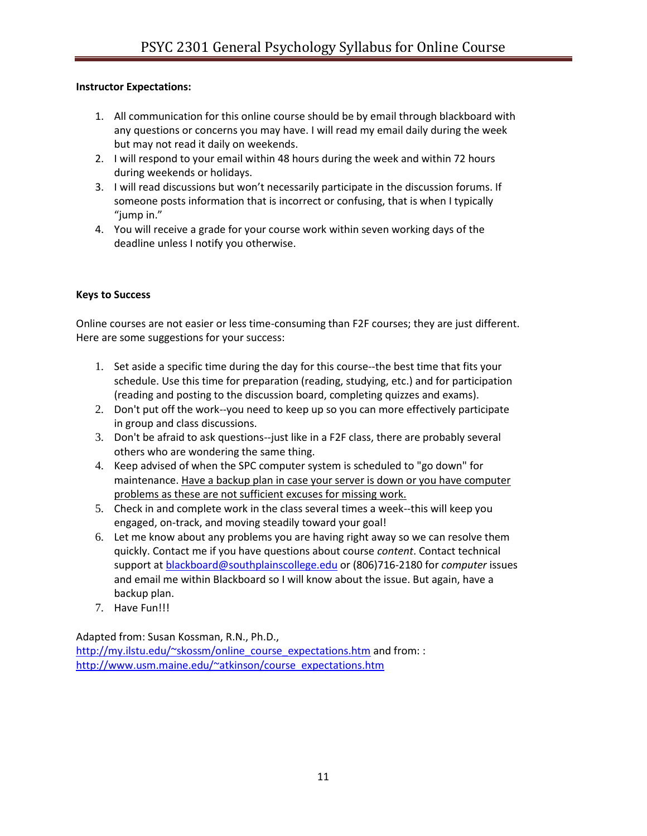### **Instructor Expectations:**

- 1. All communication for this online course should be by email through blackboard with any questions or concerns you may have. I will read my email daily during the week but may not read it daily on weekends.
- 2. I will respond to your email within 48 hours during the week and within 72 hours during weekends or holidays.
- 3. I will read discussions but won't necessarily participate in the discussion forums. If someone posts information that is incorrect or confusing, that is when I typically "jump in."
- 4. You will receive a grade for your course work within seven working days of the deadline unless I notify you otherwise.

#### **Keys to Success**

Online courses are not easier or less time-consuming than F2F courses; they are just different. Here are some suggestions for your success:

- 1. Set aside a specific time during the day for this course--the best time that fits your schedule. Use this time for preparation (reading, studying, etc.) and for participation (reading and posting to the discussion board, completing quizzes and exams).
- 2. Don't put off the work--you need to keep up so you can more effectively participate in group and class discussions.
- 3. Don't be afraid to ask questions--just like in a F2F class, there are probably several others who are wondering the same thing.
- 4. Keep advised of when the SPC computer system is scheduled to "go down" for maintenance. Have a backup plan in case your server is down or you have computer problems as these are not sufficient excuses for missing work.
- 5. Check in and complete work in the class several times a week--this will keep you engaged, on-track, and moving steadily toward your goal!
- 6. Let me know about any problems you are having right away so we can resolve them quickly. Contact me if you have questions about course *content*. Contact technical support at [blackboard@southplainscollege.edu](mailto:blackboard@southplainscollege.edu) or (806)716-2180 for *computer* issues and email me within Blackboard so I will know about the issue. But again, have a backup plan.
- 7. Have Fun!!!

Adapted from: Susan Kossman, R.N., Ph.D.,

[http://my.ilstu.edu/~skossm/online\\_course\\_expectations.htm](http://my.ilstu.edu/~skossm/online_course_expectations.htm) and from: : [http://www.usm.maine.edu/~atkinson/course\\_expectations.htm](http://www.usm.maine.edu/~atkinson/course_expectations.htm)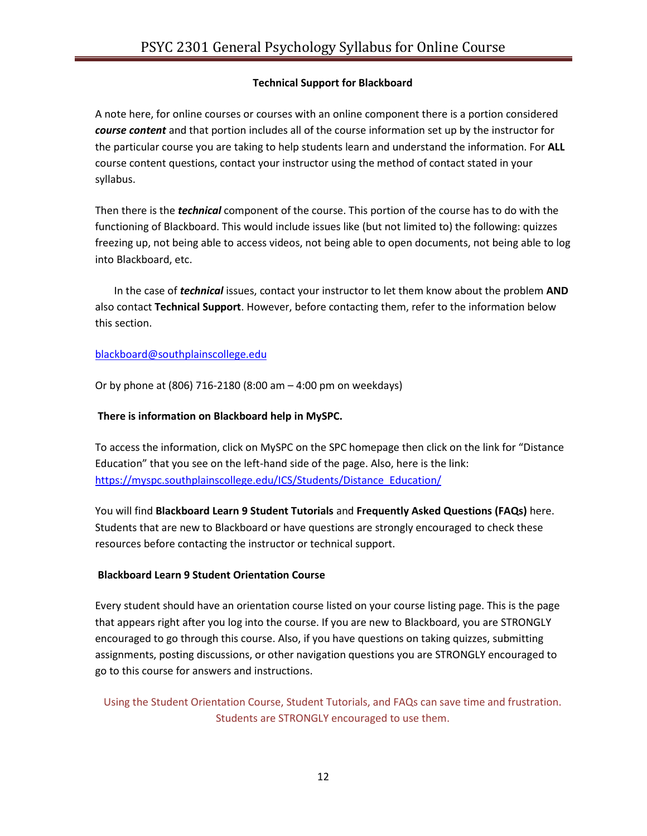### **Technical Support for Blackboard**

A note here, for online courses or courses with an online component there is a portion considered *course content* and that portion includes all of the course information set up by the instructor for the particular course you are taking to help students learn and understand the information. For **ALL**  course content questions, contact your instructor using the method of contact stated in your syllabus.

Then there is the *technical* component of the course. This portion of the course has to do with the functioning of Blackboard. This would include issues like (but not limited to) the following: quizzes freezing up, not being able to access videos, not being able to open documents, not being able to log into Blackboard, etc.

In the case of *technical* issues, contact your instructor to let them know about the problem **AND**  also contact **Technical Support**. However, before contacting them, refer to the information below this section.

### [blackboard@southplainscollege.edu](mailto:blackboard@southplainscollege.edu)

Or by phone at (806) 716-2180 (8:00 am – 4:00 pm on weekdays)

### **There is information on Blackboard help in MySPC.**

To access the information, click on MySPC on the SPC homepage then click on the link for "Distance Education" that you see on the left-hand side of the page. Also, here is the link: [https://myspc.southplainscollege.edu/ICS/Students/Distance\\_Education/](https://myspc.southplainscollege.edu/ICS/Students/Distance_Education/)

You will find **Blackboard Learn 9 Student Tutorials** and **Frequently Asked Questions (FAQs)** here. Students that are new to Blackboard or have questions are strongly encouraged to check these resources before contacting the instructor or technical support.

## **Blackboard Learn 9 Student Orientation Course**

Every student should have an orientation course listed on your course listing page. This is the page that appears right after you log into the course. If you are new to Blackboard, you are STRONGLY encouraged to go through this course. Also, if you have questions on taking quizzes, submitting assignments, posting discussions, or other navigation questions you are STRONGLY encouraged to go to this course for answers and instructions.

Using the Student Orientation Course, Student Tutorials, and FAQs can save time and frustration. Students are STRONGLY encouraged to use them.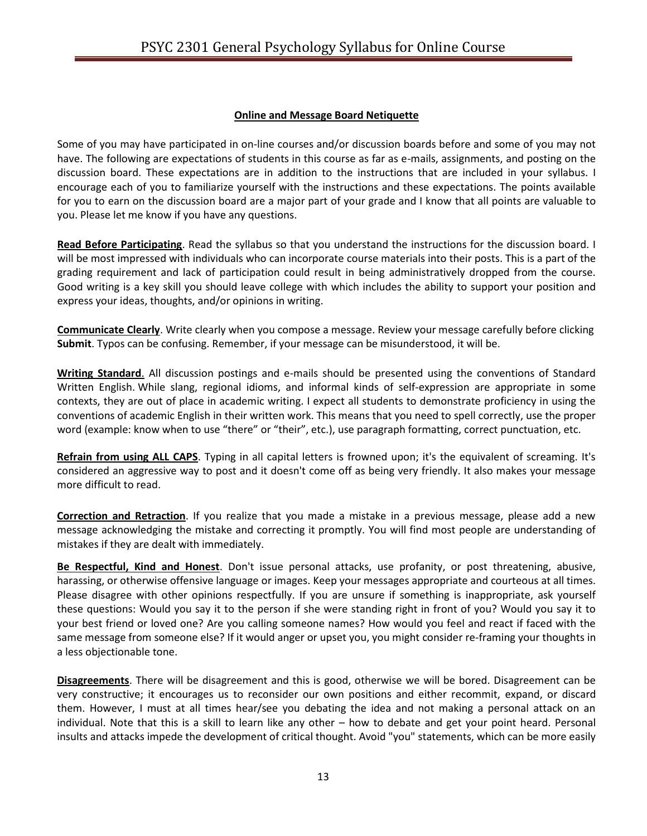### **Online and Message Board Netiquette**

Some of you may have participated in on-line courses and/or discussion boards before and some of you may not have. The following are expectations of students in this course as far as e-mails, assignments, and posting on the discussion board. These expectations are in addition to the instructions that are included in your syllabus. I encourage each of you to familiarize yourself with the instructions and these expectations. The points available for you to earn on the discussion board are a major part of your grade and I know that all points are valuable to you. Please let me know if you have any questions.

**Read Before Participating**. Read the syllabus so that you understand the instructions for the discussion board. I will be most impressed with individuals who can incorporate course materials into their posts. This is a part of the grading requirement and lack of participation could result in being administratively dropped from the course. Good writing is a key skill you should leave college with which includes the ability to support your position and express your ideas, thoughts, and/or opinions in writing.

**Communicate Clearly**. Write clearly when you compose a message. Review your message carefully before clicking **Submit**. Typos can be confusing. Remember, if your message can be misunderstood, it will be.

**Writing Standard**. All discussion postings and e-mails should be presented using the conventions of Standard Written English. While slang, regional idioms, and informal kinds of self-expression are appropriate in some contexts, they are out of place in academic writing. I expect all students to demonstrate proficiency in using the conventions of academic English in their written work. This means that you need to spell correctly, use the proper word (example: know when to use "there" or "their", etc.), use paragraph formatting, correct punctuation, etc.

**Refrain from using ALL CAPS**. Typing in all capital letters is frowned upon; it's the equivalent of screaming. It's considered an aggressive way to post and it doesn't come off as being very friendly. It also makes your message more difficult to read.

**Correction and Retraction**. If you realize that you made a mistake in a previous message, please add a new message acknowledging the mistake and correcting it promptly. You will find most people are understanding of mistakes if they are dealt with immediately.

**Be Respectful, Kind and Honest**. Don't issue personal attacks, use profanity, or post threatening, abusive, harassing, or otherwise offensive language or images. Keep your messages appropriate and courteous at all times. Please disagree with other opinions respectfully. If you are unsure if something is inappropriate, ask yourself these questions: Would you say it to the person if she were standing right in front of you? Would you say it to your best friend or loved one? Are you calling someone names? How would you feel and react if faced with the same message from someone else? If it would anger or upset you, you might consider re-framing your thoughts in a less objectionable tone.

**Disagreements**. There will be disagreement and this is good, otherwise we will be bored. Disagreement can be very constructive; it encourages us to reconsider our own positions and either recommit, expand, or discard them. However, I must at all times hear/see you debating the idea and not making a personal attack on an individual. Note that this is a skill to learn like any other – how to debate and get your point heard. Personal insults and attacks impede the development of critical thought. Avoid "you" statements, which can be more easily